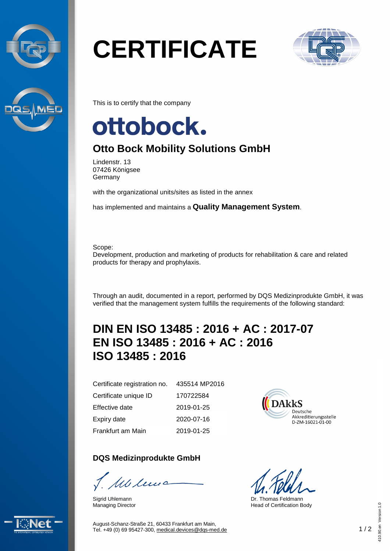



# **CERTIFICATE**



This is to certify that the company

## ottobock.

### **Otto Bock Mobility Solutions GmbH**

Lindenstr. 13 07426 Königsee **Germany** 

with the organizational units/sites as listed in the annex

has implemented and maintains a **Quality Management System**.

Scope:

Development, production and marketing of products for rehabilitation & care and related products for therapy and prophylaxis.

Through an audit, documented in a report, performed by DQS Medizinprodukte GmbH, it was verified that the management system fulfills the requirements of the following standard:

### **DIN EN ISO 13485 : 2016 + AC : 2017-07 EN ISO 13485 : 2016 + AC : 2016 ISO 13485 : 2016**

Certificate registration no. Certificate unique ID Effective date Expiry date

Frankfurt am Main

**DQS Medizinprodukte GmbH**

Mclews

Sigrid Uhlemann Managing Director

435514 MP2016 170722584 2019-01-25 2020-07-16 2019-01-25



Dr. Thomas Feldmann Head of Certification Body



August-Schanz-Straße 21, 60433 Frankfurt am Main, Tel. +49 (0) 69 95427-300, [medical.devices@dqs-med.de](mailto:medical.devices@dqs-med.de) 1 / 2